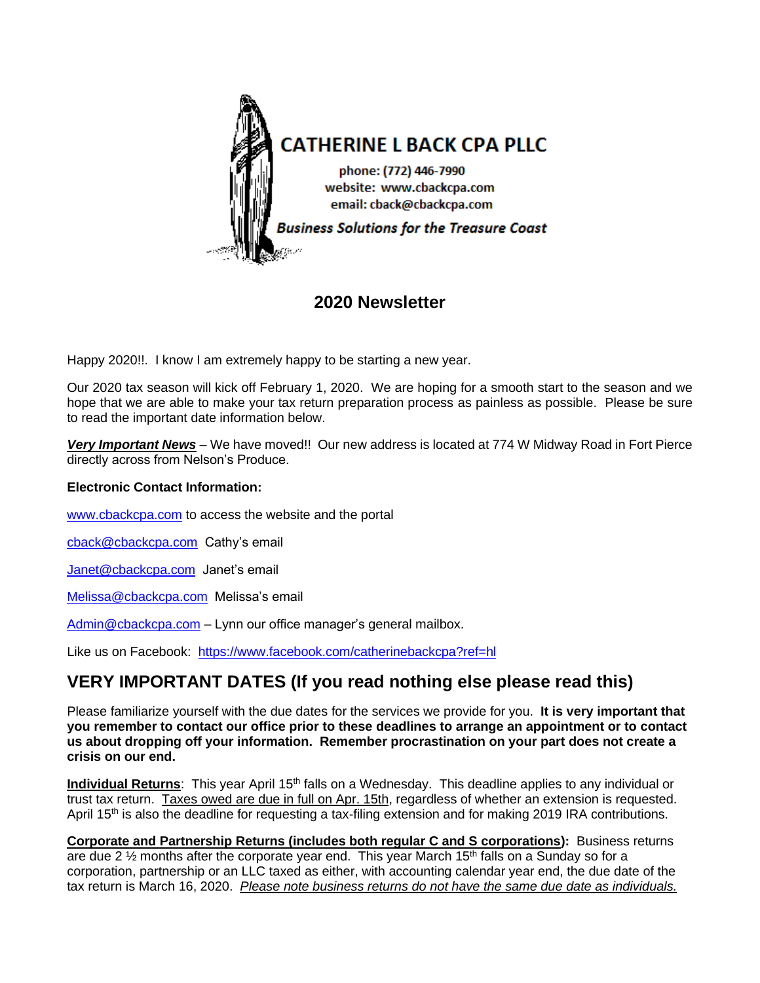

## **2020 Newsletter**

Happy 2020!!. I know I am extremely happy to be starting a new year.

Our 2020 tax season will kick off February 1, 2020. We are hoping for a smooth start to the season and we hope that we are able to make your tax return preparation process as painless as possible. Please be sure to read the important date information below.

*Very Important News* – We have moved!! Our new address is located at 774 W Midway Road in Fort Pierce directly across from Nelson's Produce.

#### **Electronic Contact Information:**

[www.cbackcpa.com](http://www.cbackcpa.com/) to access the website and the portal

[cback@cbackcpa.com](mailto:cback@cbackcpa.com) Cathy's email

[Janet@cbackcpa.com](mailto:Janet@cbackcpa.com) Janet's email

[Melissa@cbackcpa.com](mailto:Melissa@cbackcpa.com) Melissa's email

Admin@cbackcpa.com – Lynn our office manager's general mailbox.

Like us on Facebook: <https://www.facebook.com/catherinebackcpa?ref=hl>

# **VERY IMPORTANT DATES (If you read nothing else please read this)**

Please familiarize yourself with the due dates for the services we provide for you. **It is very important that you remember to contact our office prior to these deadlines to arrange an appointment or to contact us about dropping off your information. Remember procrastination on your part does not create a crisis on our end.**

**Individual Returns**: This year April 15<sup>th</sup> falls on a Wednesday. This deadline applies to any individual or trust tax return. Taxes owed are due in full on Apr. 15th, regardless of whether an extension is requested. April 15<sup>th</sup> is also the deadline for requesting a tax-filing extension and for making 2019 IRA contributions.

**Corporate and Partnership Returns (includes both regular C and S corporations):** Business returns are due 2  $\frac{1}{2}$  months after the corporate year end. This year March 15<sup>th</sup> falls on a Sunday so for a corporation, partnership or an LLC taxed as either, with accounting calendar year end, the due date of the tax return is March 16, 2020. *Please note business returns do not have the same due date as individuals.*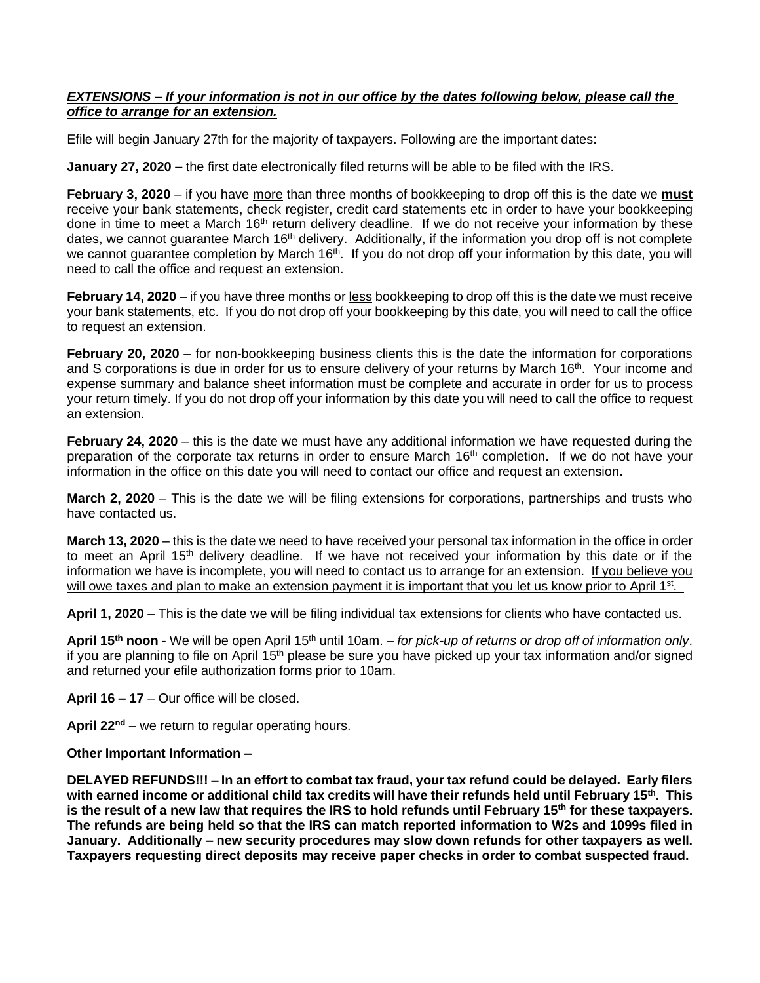#### *EXTENSIONS – If your information is not in our office by the dates following below, please call the office to arrange for an extension.*

Efile will begin January 27th for the majority of taxpayers. Following are the important dates:

**January 27, 2020 –** the first date electronically filed returns will be able to be filed with the IRS.

**February 3, 2020** – if you have more than three months of bookkeeping to drop off this is the date we **must** receive your bank statements, check register, credit card statements etc in order to have your bookkeeping done in time to meet a March 16<sup>th</sup> return delivery deadline. If we do not receive your information by these dates, we cannot guarantee March 16<sup>th</sup> delivery. Additionally, if the information you drop off is not complete we cannot guarantee completion by March 16<sup>th</sup>. If you do not drop off your information by this date, you will need to call the office and request an extension.

**February 14, 2020** – if you have three months or less bookkeeping to drop off this is the date we must receive your bank statements, etc. If you do not drop off your bookkeeping by this date, you will need to call the office to request an extension.

**February 20, 2020** – for non-bookkeeping business clients this is the date the information for corporations and S corporations is due in order for us to ensure delivery of your returns by March 16<sup>th</sup>. Your income and expense summary and balance sheet information must be complete and accurate in order for us to process your return timely. If you do not drop off your information by this date you will need to call the office to request an extension.

**February 24, 2020** – this is the date we must have any additional information we have requested during the preparation of the corporate tax returns in order to ensure March 16<sup>th</sup> completion. If we do not have your information in the office on this date you will need to contact our office and request an extension.

**March 2, 2020** – This is the date we will be filing extensions for corporations, partnerships and trusts who have contacted us.

**March 13, 2020** – this is the date we need to have received your personal tax information in the office in order to meet an April 15<sup>th</sup> delivery deadline. If we have not received your information by this date or if the information we have is incomplete, you will need to contact us to arrange for an extension. If you believe you will owe taxes and plan to make an extension payment it is important that you let us know prior to April 1<sup>st</sup>.

**April 1, 2020** – This is the date we will be filing individual tax extensions for clients who have contacted us.

April 15<sup>th</sup> noon - We will be open April 15<sup>th</sup> until 10am. – for pick-up of returns or drop off of information only. if you are planning to file on April 15<sup>th</sup> please be sure you have picked up your tax information and/or signed and returned your efile authorization forms prior to 10am.

**April 16 – 17** – Our office will be closed.

April 22<sup>nd</sup> – we return to regular operating hours.

#### **Other Important Information –**

**DELAYED REFUNDS!!! – In an effort to combat tax fraud, your tax refund could be delayed. Early filers with earned income or additional child tax credits will have their refunds held until February 15th. This is the result of a new law that requires the IRS to hold refunds until February 15th for these taxpayers. The refunds are being held so that the IRS can match reported information to W2s and 1099s filed in January. Additionally – new security procedures may slow down refunds for other taxpayers as well. Taxpayers requesting direct deposits may receive paper checks in order to combat suspected fraud.**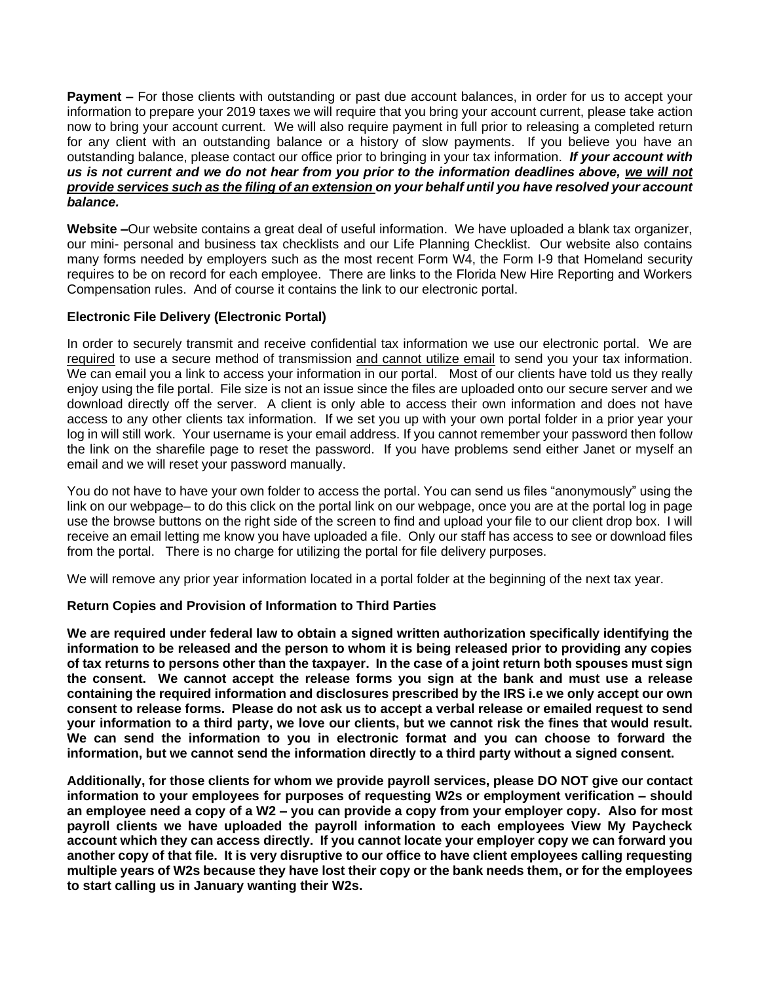**Payment –** For those clients with outstanding or past due account balances, in order for us to accept your information to prepare your 2019 taxes we will require that you bring your account current, please take action now to bring your account current. We will also require payment in full prior to releasing a completed return for any client with an outstanding balance or a history of slow payments. If you believe you have an outstanding balance, please contact our office prior to bringing in your tax information. *If your account with us is not current and we do not hear from you prior to the information deadlines above, we will not provide services such as the filing of an extension on your behalf until you have resolved your account balance.*

**Website –**Our website contains a great deal of useful information. We have uploaded a blank tax organizer, our mini- personal and business tax checklists and our Life Planning Checklist. Our website also contains many forms needed by employers such as the most recent Form W4, the Form I-9 that Homeland security requires to be on record for each employee. There are links to the Florida New Hire Reporting and Workers Compensation rules. And of course it contains the link to our electronic portal.

### **Electronic File Delivery (Electronic Portal)**

In order to securely transmit and receive confidential tax information we use our electronic portal. We are required to use a secure method of transmission and cannot utilize email to send you your tax information. We can email you a link to access your information in our portal. Most of our clients have told us they really enjoy using the file portal. File size is not an issue since the files are uploaded onto our secure server and we download directly off the server. A client is only able to access their own information and does not have access to any other clients tax information. If we set you up with your own portal folder in a prior year your log in will still work. Your username is your email address. If you cannot remember your password then follow the link on the sharefile page to reset the password. If you have problems send either Janet or myself an email and we will reset your password manually.

You do not have to have your own folder to access the portal. You can send us files "anonymously" using the link on our webpage– to do this click on the portal link on our webpage, once you are at the portal log in page use the browse buttons on the right side of the screen to find and upload your file to our client drop box. I will receive an email letting me know you have uploaded a file. Only our staff has access to see or download files from the portal. There is no charge for utilizing the portal for file delivery purposes.

We will remove any prior year information located in a portal folder at the beginning of the next tax year.

#### **Return Copies and Provision of Information to Third Parties**

**We are required under federal law to obtain a signed written authorization specifically identifying the information to be released and the person to whom it is being released prior to providing any copies of tax returns to persons other than the taxpayer. In the case of a joint return both spouses must sign the consent. We cannot accept the release forms you sign at the bank and must use a release containing the required information and disclosures prescribed by the IRS i.e we only accept our own consent to release forms. Please do not ask us to accept a verbal release or emailed request to send your information to a third party, we love our clients, but we cannot risk the fines that would result. We can send the information to you in electronic format and you can choose to forward the information, but we cannot send the information directly to a third party without a signed consent.** 

**Additionally, for those clients for whom we provide payroll services, please DO NOT give our contact information to your employees for purposes of requesting W2s or employment verification – should an employee need a copy of a W2 – you can provide a copy from your employer copy. Also for most payroll clients we have uploaded the payroll information to each employees View My Paycheck account which they can access directly. If you cannot locate your employer copy we can forward you another copy of that file. It is very disruptive to our office to have client employees calling requesting multiple years of W2s because they have lost their copy or the bank needs them, or for the employees to start calling us in January wanting their W2s.**